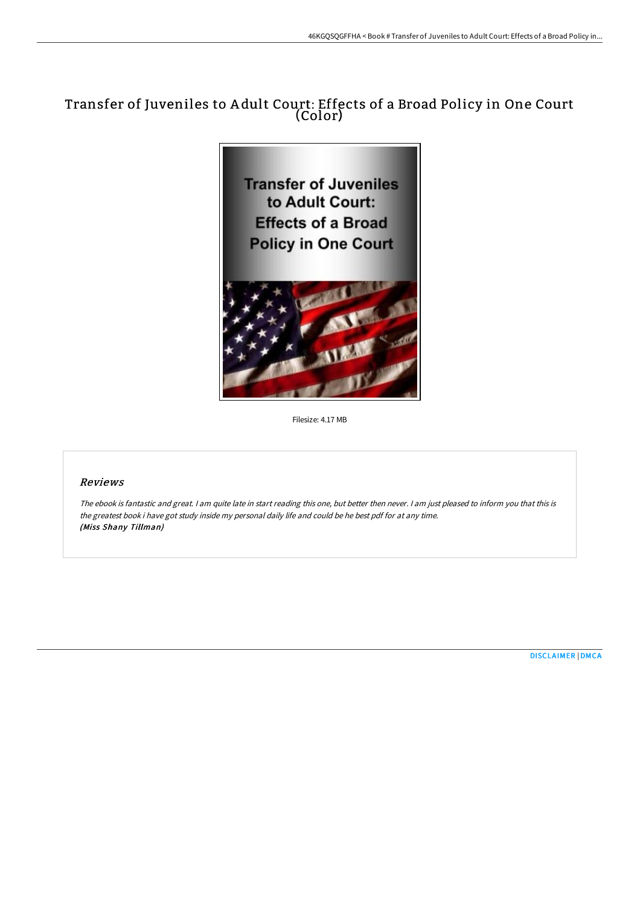## Transfer of Juveniles to A dult Court: Effects of a Broad Policy in One Court (Color)



Filesize: 4.17 MB

## Reviews

The ebook is fantastic and great. <sup>I</sup> am quite late in start reading this one, but better then never. <sup>I</sup> am just pleased to inform you that this is the greatest book i have got study inside my personal daily life and could be he best pdf for at any time. (Miss Shany Tillman)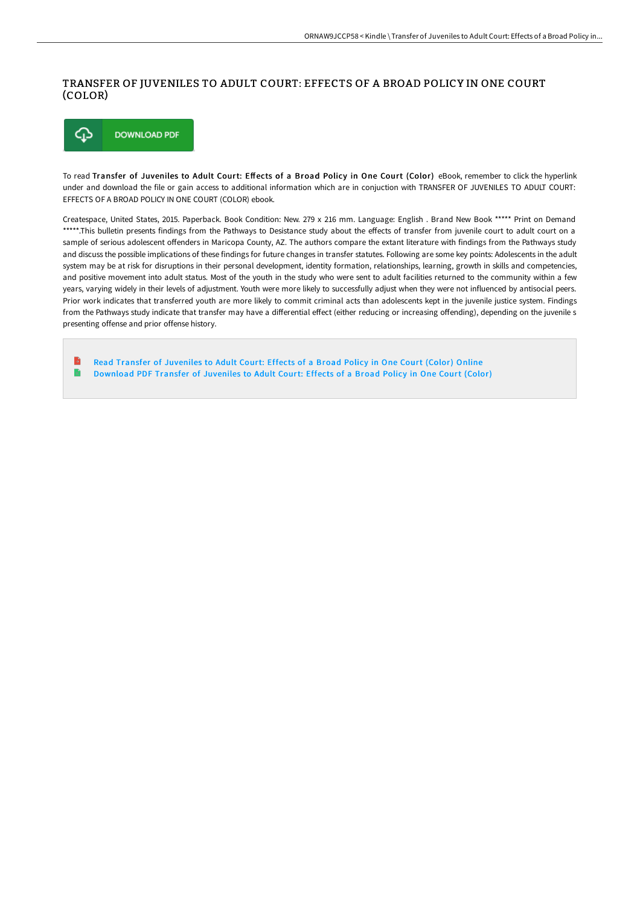## TRANSFER OF JUVENILES TO ADULT COURT: EFFECTS OF A BROAD POLICY IN ONE COURT (COLOR)



To read Transfer of Juveniles to Adult Court: Effects of a Broad Policy in One Court (Color) eBook, remember to click the hyperlink under and download the file or gain access to additional information which are in conjuction with TRANSFER OF JUVENILES TO ADULT COURT: EFFECTS OF A BROAD POLICY IN ONE COURT (COLOR) ebook.

Createspace, United States, 2015. Paperback. Book Condition: New. 279 x 216 mm. Language: English . Brand New Book \*\*\*\*\* Print on Demand \*\*\*\*\*.This bulletin presents findings from the Pathways to Desistance study about the effects of transfer from juvenile court to adult court on a sample of serious adolescent offenders in Maricopa County, AZ. The authors compare the extant literature with findings from the Pathways study and discuss the possible implications of these findings for future changes in transfer statutes. Following are some key points: Adolescents in the adult system may be at risk for disruptions in their personal development, identity formation, relationships, learning, growth in skills and competencies, and positive movement into adult status. Most of the youth in the study who were sent to adult facilities returned to the community within a few years, varying widely in their levels of adjustment. Youth were more likely to successfully adjust when they were not influenced by antisocial peers. Prior work indicates that transferred youth are more likely to commit criminal acts than adolescents kept in the juvenile justice system. Findings from the Pathways study indicate that transfer may have a differential effect (either reducing or increasing offending), depending on the juvenile s presenting offense and prior offense history.

B Read Transfer of [Juveniles](http://techno-pub.tech/transfer-of-juveniles-to-adult-court-effects-of--1.html) to Adult Court: Effects of a Broad Policy in One Court (Color) Online E [Download](http://techno-pub.tech/transfer-of-juveniles-to-adult-court-effects-of--1.html) PDF Transfer of Juveniles to Adult Court: Effects of a Broad Policy in One Court (Color)